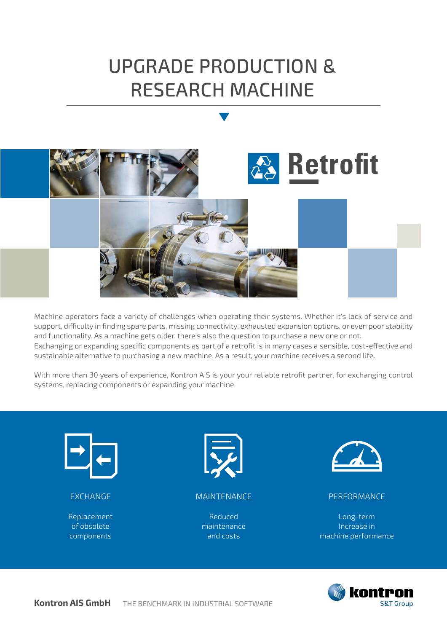# UPGRADE PRODUCTION & RESEARCH MACHINE



Machine operators face a variety of challenges when operating their systems. Whether it's lack of service and support, difficulty in finding spare parts, missing connectivity, exhausted expansion options, or even poor stability and functionality. As a machine gets older, there's also the question to purchase a new one or not. Exchanging or expanding specific components as part of a retrofit is in many cases a sensible, cost-effective and sustainable alternative to purchasing a new machine. As a result, your machine receives a second life.

With more than 30 years of experience, Kontron AIS is your your reliable retrofit partner, for exchanging control systems, replacing components or expanding your machine.



#### EXCHANGE

Replacement of obsolete components



#### MAINTENANCE

Reduced maintenance and costs



#### PERFORMANCE

Long-term Increase in machine performance

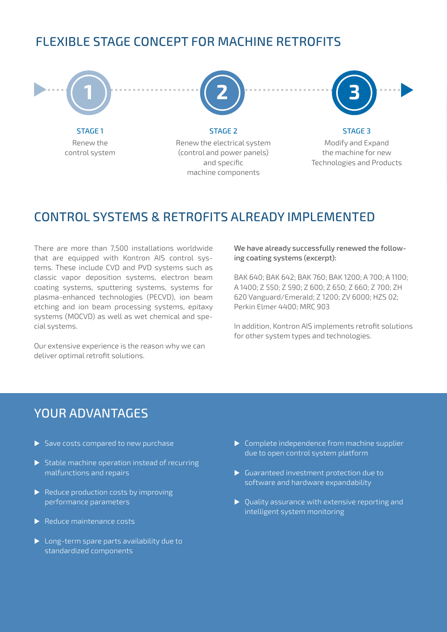### FLEXIBLE STAGE CONCEPT FOR MACHINE RETROFITS



### CONTROL SYSTEMS & RETROFITS ALREADY IMPLEMENTED

There are more than 7,500 installations worldwide that are equipped with Kontron AIS control systems. These include CVD and PVD systems such as classic vapor deposition systems, electron beam coating systems, sputtering systems, systems for plasma-enhanced technologies (PECVD), ion beam etching and ion beam processing systems, epitaxy systems (MOCVD) as well as wet chemical and special systems.

Our extensive experience is the reason why we can deliver optimal retrofit solutions.

We have already successfully renewed the following coating systems (excerpt):

BAK 640; BAK 642; BAK 760; BAK 1200; A 700; A 1100; A 1400; Z 550; Z 590; Z 600; Z 650; Z 660; Z 700; ZH 620 Vanguard/Emerald; Z 1200; ZV 6000; HZS 02; Perkin Elmer 4400; MRC 903

In addition, Kontron AIS implements retrofit solutions for other system types and technologies.

#### YOUR ADVANTAGES

- $\triangleright$  Save costs compared to new purchase
- $\triangleright$  Stable machine operation instead of recurring malfunctions and repairs
- $\blacktriangleright$  Reduce production costs by improving performance parameters
- $\blacktriangleright$  Reduce maintenance costs
- $\blacktriangleright$  Long-term spare parts availability due to standardized components
- $\triangleright$  Complete independence from machine supplier due to open control system platform
- $\blacktriangleright$  Guaranteed investment protection due to software and hardware expandability
- $\blacktriangleright$  Quality assurance with extensive reporting and intelligent system monitoring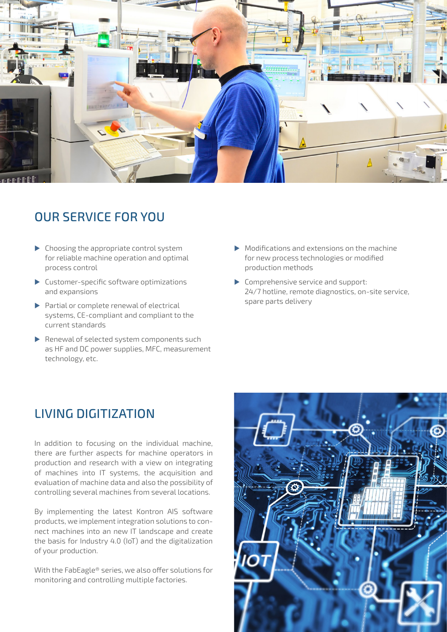

## OUR SERVICE FOR YOU

- $\blacktriangleright$  Choosing the appropriate control system for reliable machine operation and optimal process control
- $\blacktriangleright$  Customer-specific software optimizations and expansions
- $\blacktriangleright$  Partial or complete renewal of electrical systems, CE-compliant and compliant to the current standards
- $\blacktriangleright$  Renewal of selected system components such as HF and DC power supplies, MFC, measurement technology, etc.
- $\blacktriangleright$  Modifications and extensions on the machine for new process technologies or modified production methods
- $\triangleright$  Comprehensive service and support: 24/7 hotline, remote diagnostics, on-site service, spare parts delivery

### LIVING DIGITIZATION

In addition to focusing on the individual machine, there are further aspects for machine operators in production and research with a view on integrating of machines into IT systems, the acquisition and evaluation of machine data and also the possibility of controlling several machines from several locations.

By implementing the latest Kontron AIS software products, we implement integration solutions to connect machines into an new IT landscape and create the basis for Industry 4.0 (IoT) and the digitalization of your production.

With the FabEagle® series, we also offer solutions for monitoring and controlling multiple factories.